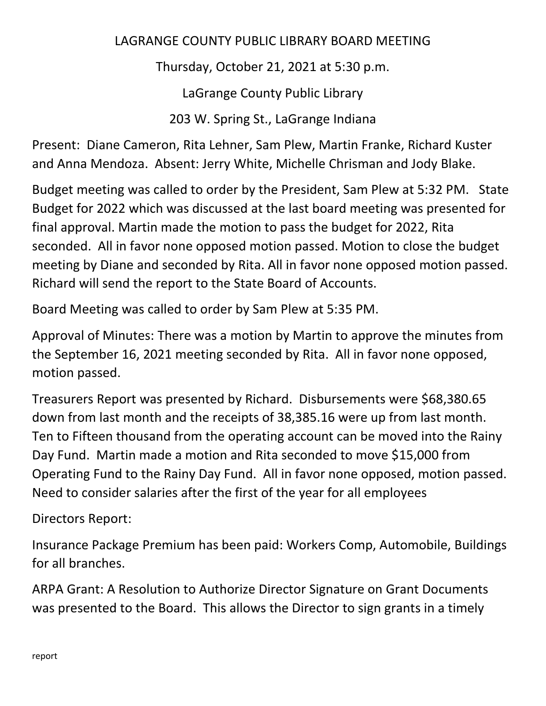## LAGRANGE COUNTY PUBLIC LIBRARY BOARD MEETING

Thursday, October 21, 2021 at 5:30 p.m.

LaGrange County Public Library

203 W. Spring St., LaGrange Indiana

Present: Diane Cameron, Rita Lehner, Sam Plew, Martin Franke, Richard Kuster and Anna Mendoza. Absent: Jerry White, Michelle Chrisman and Jody Blake.

Budget meeting was called to order by the President, Sam Plew at 5:32 PM. State Budget for 2022 which was discussed at the last board meeting was presented for final approval. Martin made the motion to pass the budget for 2022, Rita seconded. All in favor none opposed motion passed. Motion to close the budget meeting by Diane and seconded by Rita. All in favor none opposed motion passed. Richard will send the report to the State Board of Accounts.

Board Meeting was called to order by Sam Plew at 5:35 PM.

Approval of Minutes: There was a motion by Martin to approve the minutes from the September 16, 2021 meeting seconded by Rita. All in favor none opposed, motion passed.

Treasurers Report was presented by Richard. Disbursements were \$68,380.65 down from last month and the receipts of 38,385.16 were up from last month. Ten to Fifteen thousand from the operating account can be moved into the Rainy Day Fund. Martin made a motion and Rita seconded to move \$15,000 from Operating Fund to the Rainy Day Fund. All in favor none opposed, motion passed. Need to consider salaries after the first of the year for all employees

Directors Report:

Insurance Package Premium has been paid: Workers Comp, Automobile, Buildings for all branches.

ARPA Grant: A Resolution to Authorize Director Signature on Grant Documents was presented to the Board. This allows the Director to sign grants in a timely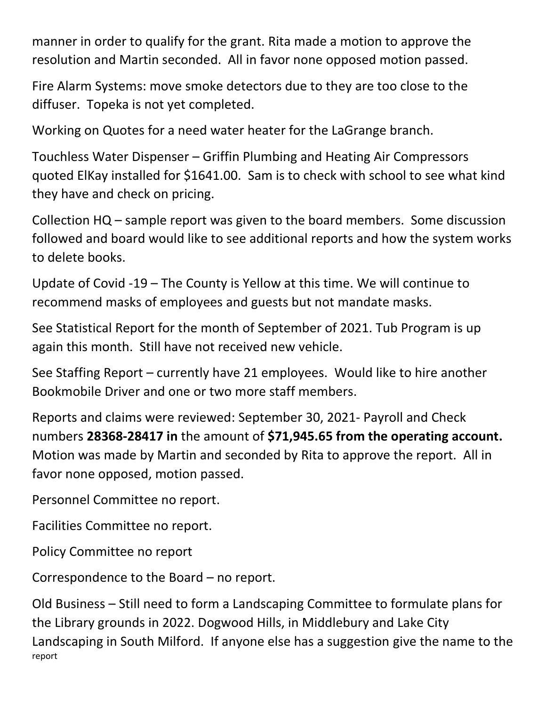manner in order to qualify for the grant. Rita made a motion to approve the resolution and Martin seconded. All in favor none opposed motion passed.

Fire Alarm Systems: move smoke detectors due to they are too close to the diffuser. Topeka is not yet completed.

Working on Quotes for a need water heater for the LaGrange branch.

Touchless Water Dispenser – Griffin Plumbing and Heating Air Compressors quoted ElKay installed for \$1641.00. Sam is to check with school to see what kind they have and check on pricing.

Collection HQ – sample report was given to the board members. Some discussion followed and board would like to see additional reports and how the system works to delete books.

Update of Covid -19 – The County is Yellow at this time. We will continue to recommend masks of employees and guests but not mandate masks.

See Statistical Report for the month of September of 2021. Tub Program is up again this month. Still have not received new vehicle.

See Staffing Report – currently have 21 employees. Would like to hire another Bookmobile Driver and one or two more staff members.

Reports and claims were reviewed: September 30, 2021- Payroll and Check numbers **28368-28417 in** the amount of **\$71,945.65 from the operating account.** Motion was made by Martin and seconded by Rita to approve the report. All in favor none opposed, motion passed.

Personnel Committee no report.

Facilities Committee no report.

Policy Committee no report

Correspondence to the Board – no report.

report Old Business – Still need to form a Landscaping Committee to formulate plans for the Library grounds in 2022. Dogwood Hills, in Middlebury and Lake City Landscaping in South Milford. If anyone else has a suggestion give the name to the